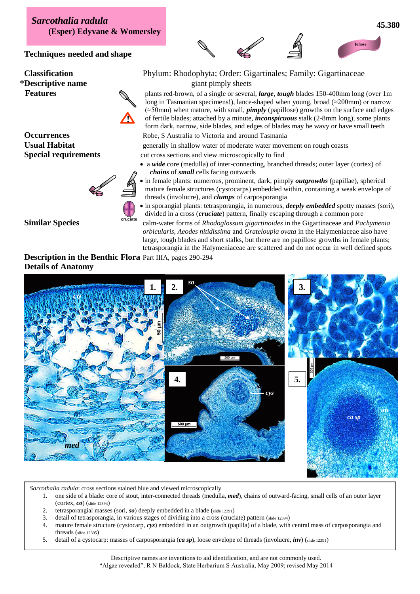*Sarcothalia radula* **(Esper) Edyvane & Womersley**

**Techniques needed and shape**

**Occurrences** Robe, S Australia to Victoria and around Tasmania



**!**

## **foliose**

**Classification** Phylum: Rhodophyta; Order: Gigartinales; Family: Gigartinaceae **\*Descriptive name** giant pimply sheets

**Features** plants red-brown, of a single or several, *large*, *tough* blades 150-400mm long (over 1m long in Tasmanian specimens!), lance-shaped when young, broad ( $\approx$ 200mm) or narrow (≈50mm) when mature, with small, *pimply* (papillose) growths on the surface and edges of fertile blades; attached by a minute, *inconspicuous* stalk (2-8mm long); some plants form dark, narrow, side blades, and edges of blades may be wavy or have small teeth

Usual Habitat generally in shallow water of moderate water movement on rough coasts

**Special requirements** cut cross sections and view microscopically to find

- a *wide* core (medulla) of inter-connecting, branched threads; outer layer (cortex) of *chains* of *small* cells facing outwards
- in female plants: numerous, prominent, dark, pimply *outgrowths* (papillae), spherical mature female structures (cystocarps) embedded within, containing a weak envelope of threads (involucre), and *clumps* of carposporangia

 in sporangial plants: tetrasporangia, in numerous, *deeply embedded* spotty masses (sori), divided in a cross (*cruciate*) pattern, finally escaping through a common pore **cruciate**

**Similar Species** calm-water forms of *Rhodoglossum gigartinoides* in the Gigartinaceae and *Pachymenia orbicularis, Aeodes nitidissima* and *Grateloupia ovata* in the Halymeniaceae also have large, tough blades and short stalks, but there are no papillose growths in female plants; tetrasporangia in the Halymeniaceae are scattered and do not occur in well defined spots

**Description in the Benthic Flora** Part IIIA, pages 290-294 **Details of Anatomy**



*Sarcothalia radula*: cross sections stained blue and viewed microscopically

- 1. one side of a blade: core of stout, inter-connected threads (medulla, *med*), chains of outward-facing, small cells of an outer layer (cortex, *co*) (slide 12394)
- 2. tetrasporangial masses (sori, *so*) deeply embedded in a blade (slide 12391)
- 3. detail of tetrasporangia, in various stages of dividing into a cross (cruciate) pattern (slide 12394)
- 4. mature female structure (cystocarp, *cys*) embedded in an outgrowth (papilla) of a blade, with central mass of carposporangia and threads (slide 12395)
- 5. detail of a cystocarp: masses of carposporangia (*ca sp*), loose envelope of threads (involucre, *inv*) (slide 12391)